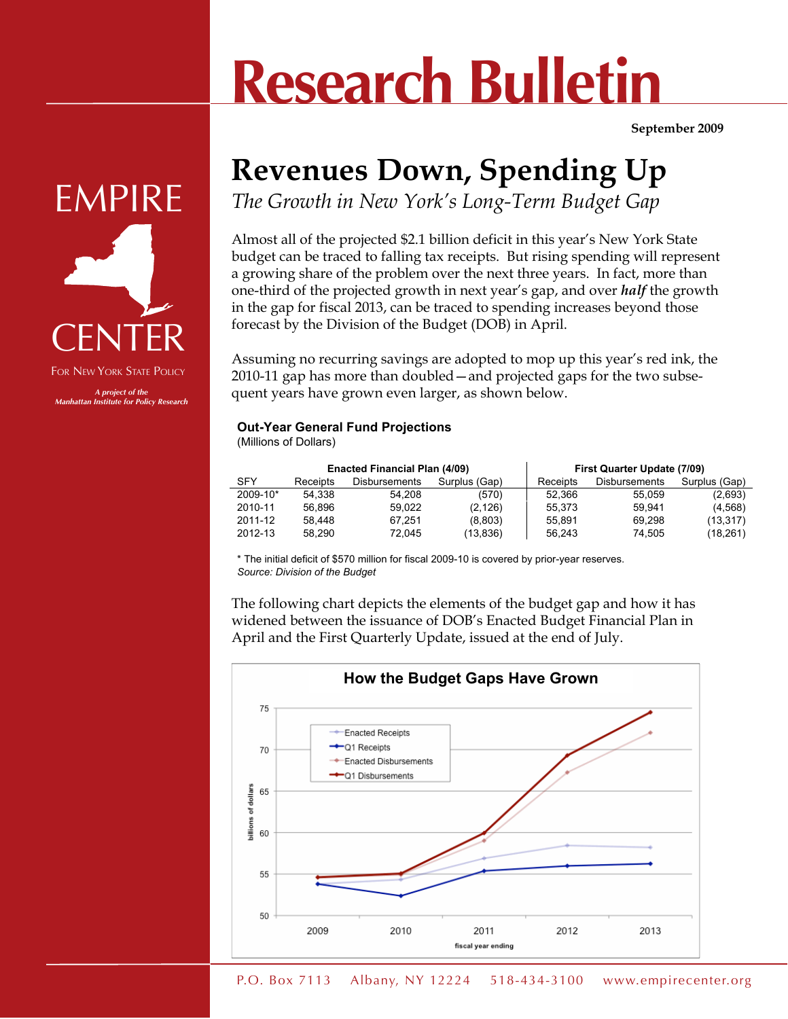## **Research Bulletin**

**September 2009**

## **Revenues Down, Spending Up**

*The Growth in New York's Long-Term Budget Gap*

Almost all of the projected \$2.1 billion deficit in this year's New York State budget can be traced to falling tax receipts. But rising spending will represent a growing share of the problem over the next three years. In fact, more than one-third of the projected growth in next year's gap, and over *half* the growth in the gap for fiscal 2013, can be traced to spending increases beyond those forecast by the Division of the Budget (DOB) in April.

Assuming no recurring savings are adopted to mop up this year's red ink, the 2010-11 gap has more than doubled—and projected gaps for the two subsequent years have grown even larger, as shown below.

## **Out-Year General Fund Projections**

(Millions of Dollars)

|            |          | <b>Enacted Financial Plan (4/09)</b> |               | <b>First Quarter Update (7/09)</b> |                      |               |
|------------|----------|--------------------------------------|---------------|------------------------------------|----------------------|---------------|
| <b>SFY</b> | Receipts | <b>Disbursements</b>                 | Surplus (Gap) | Receipts                           | <b>Disbursements</b> | Surplus (Gap) |
| 2009-10*   | 54.338   | 54.208                               | (570)         | 52.366                             | 55.059               | (2,693)       |
| 2010-11    | 56.896   | 59.022                               | (2, 126)      | 55.373                             | 59.941               | (4,568)       |
| 2011-12    | 58.448   | 67.251                               | (8,803)       | 55.891                             | 69.298               | (13,317)      |
| 2012-13    | 58.290   | 72.045                               | (13,836)      | 56.243                             | 74.505               | (18,261)      |

\* The initial deficit of \$570 million for fiscal 2009-10 is covered by prior-year reserves. *Source: Division of the Budget*

The following chart depicts the elements of the budget gap and how it has widened between the issuance of DOB's Enacted Budget Financial Plan in April and the First Quarterly Update, issued at the end of July.





76)V\_